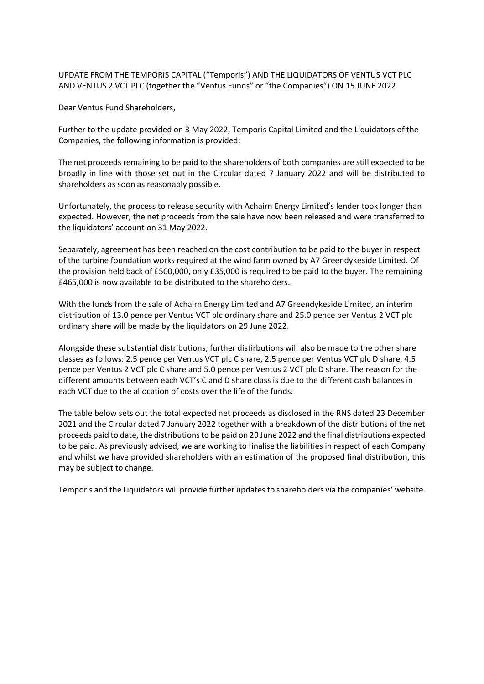UPDATE FROM THE TEMPORIS CAPITAL ("Temporis") AND THE LIQUIDATORS OF VENTUS VCT PLC AND VENTUS 2 VCT PLC (together the "Ventus Funds" or "the Companies") ON 15 JUNE 2022.

Dear Ventus Fund Shareholders,

Further to the update provided on 3 May 2022, Temporis Capital Limited and the Liquidators of the Companies, the following information is provided:

The net proceeds remaining to be paid to the shareholders of both companies are still expected to be broadly in line with those set out in the Circular dated 7 January 2022 and will be distributed to shareholders as soon as reasonably possible.

Unfortunately, the process to release security with Achairn Energy Limited's lender took longer than expected. However, the net proceeds from the sale have now been released and were transferred to the liquidators' account on 31 May 2022.

Separately, agreement has been reached on the cost contribution to be paid to the buyer in respect of the turbine foundation works required at the wind farm owned by A7 Greendykeside Limited. Of the provision held back of £500,000, only £35,000 is required to be paid to the buyer. The remaining £465,000 is now available to be distributed to the shareholders.

With the funds from the sale of Achairn Energy Limited and A7 Greendykeside Limited, an interim distribution of 13.0 pence per Ventus VCT plc ordinary share and 25.0 pence per Ventus 2 VCT plc ordinary share will be made by the liquidators on 29 June 2022.

Alongside these substantial distributions, further distirbutions will also be made to the other share classes as follows: 2.5 pence per Ventus VCT plc C share, 2.5 pence per Ventus VCT plc D share, 4.5 pence per Ventus 2 VCT plc C share and 5.0 pence per Ventus 2 VCT plc D share. The reason for the different amounts between each VCT's C and D share class is due to the different cash balances in each VCT due to the allocation of costs over the life of the funds.

The table below sets out the total expected net proceeds as disclosed in the RNS dated 23 December 2021 and the Circular dated 7 January 2022 together with a breakdown of the distributions of the net proceeds paid to date, the distributions to be paid on 29 June 2022 and the final distributions expected to be paid. As previously advised, we are working to finalise the liabilities in respect of each Company and whilst we have provided shareholders with an estimation of the proposed final distribution, this may be subject to change.

Temporis and the Liquidators will provide further updates to shareholders via the companies' website.